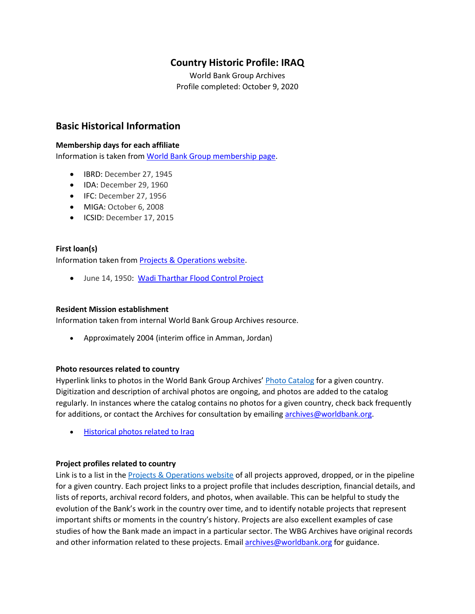# **Country Historic Profile: IRAQ**

World Bank Group Archives Profile completed: October 9, 2020

## **Basic Historical Information**

#### **Membership days for each affiliate**

Information is taken from [World Bank Group membership page.](https://www.worldbank.org/en/about/leadership/members#1)

- IBRD: December 27, 1945
- IDA: December 29, 1960
- IFC: December 27, 1956
- MIGA: October 6, 2008
- ICSID: December 17, 2015

### **First loan(s)**

Information taken from [Projects & Operations website.](https://projects.worldbank.org/)

• June 14, 1950: [Wadi Tharthar Flood Control Project](https://projects.worldbank.org/en/projects-operations/project-detail/P005231)

#### **Resident Mission establishment**

Information taken from internal World Bank Group Archives resource.

• Approximately 2004 (interim office in Amman, Jordan)

#### **Photo resources related to country**

Hyperlink links to photos in the World Bank Group Archives' [Photo Catalog](https://archivesphotos.worldbank.org/en/about/archives/photo-gallery) for a given country. Digitization and description of archival photos are ongoing, and photos are added to the catalog regularly. In instances where the catalog contains no photos for a given country, check back frequently for additions, or contact the Archives for consultation by emailin[g archives@worldbank.org.](mailto:archives@worldbank.org)

• [Historical photos related to Iraq](https://archivesphotos.worldbank.org/en/about/archives/photo-gallery/photo-gallery-landing?qterm=Iraq) 

#### **Project profiles related to country**

Link is to a list in the **[Projects & Operations website](https://projects.worldbank.org/) of all projects approved**, dropped, or in the pipeline for a given country. Each project links to a project profile that includes description, financial details, and lists of reports, archival record folders, and photos, when available. This can be helpful to study the evolution of the Bank's work in the country over time, and to identify notable projects that represent important shifts or moments in the country's history. Projects are also excellent examples of case studies of how the Bank made an impact in a particular sector. The WBG Archives have original records and other information related to these projects. Email [archives@worldbank.org](mailto:archives@worldbank.org) for guidance.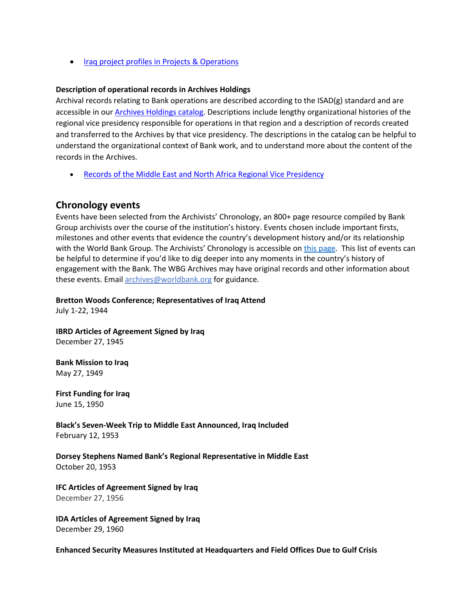• [Iraq project profiles in Projects & Operations](https://projects.worldbank.org/en/projects-operations/projects-summary?countrycode_exact=IQ)

#### **Description of operational records in Archives Holdings**

Archival records relating to Bank operations are described according to the ISAD(g) standard and are accessible in our [Archives Holdings catalog.](https://archivesholdings.worldbank.org/) Descriptions include lengthy organizational histories of the regional vice presidency responsible for operations in that region and a description of records created and transferred to the Archives by that vice presidency. The descriptions in the catalog can be helpful to understand the organizational context of Bank work, and to understand more about the content of the records in the Archives.

• [Records of the Middle East and North Africa Regional Vice Presidency](https://archivesholdings.worldbank.org/records-of-middle-east-and-north-africa-regional-vice-presidency)

## **Chronology events**

Events have been selected from the Archivists' Chronology, an 800+ page resource compiled by Bank Group archivists over the course of the institution's history. Events chosen include important firsts, milestones and other events that evidence the country's development history and/or its relationship with the World Bank Group. The Archivists' Chronology is accessible on [this page.](https://www.worldbank.org/en/about/archives/history/timeline) This list of events can be helpful to determine if you'd like to dig deeper into any moments in the country's history of engagement with the Bank. The WBG Archives may have original records and other information about these events. Email [archives@worldbank.org](mailto:archives@worldbank.org) for guidance.

**Bretton Woods Conference; Representatives of Iraq Attend** 

July 1-22, 1944

**IBRD Articles of Agreement Signed by Iraq** December 27, 1945

**Bank Mission to Iraq** May 27, 1949

**First Funding for Iraq**  June 15, 1950

**Black's Seven-Week Trip to Middle East Announced, Iraq Included** February 12, 1953

**Dorsey Stephens Named Bank's Regional Representative in Middle East** October 20, 1953

**IFC Articles of Agreement Signed by Iraq**  December 27, 1956

**IDA Articles of Agreement Signed by Iraq** December 29, 1960

**Enhanced Security Measures Instituted at Headquarters and Field Offices Due to Gulf Crisis**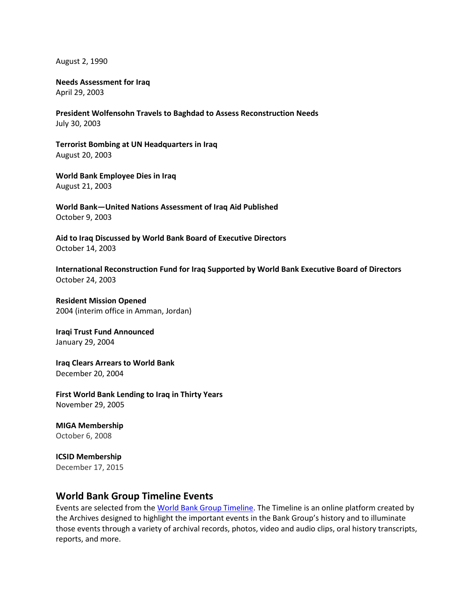August 2, 1990

#### **Needs Assessment for Iraq** April 29, 2003

**President Wolfensohn Travels to Baghdad to Assess Reconstruction Needs** July 30, 2003

**Terrorist Bombing at UN Headquarters in Iraq**  August 20, 2003

**World Bank Employee Dies in Iraq**  August 21, 2003

**World Bank—United Nations Assessment of Iraq Aid Published**  October 9, 2003

**Aid to Iraq Discussed by World Bank Board of Executive Directors** October 14, 2003

**International Reconstruction Fund for Iraq Supported by World Bank Executive Board of Directors** October 24, 2003

**Resident Mission Opened** 2004 (interim office in Amman, Jordan)

**Iraqi Trust Fund Announced**  January 29, 2004

**Iraq Clears Arrears to World Bank**  December 20, 2004

**First World Bank Lending to Iraq in Thirty Years**  November 29, 2005

**MIGA Membership** October 6, 2008

**ICSID Membership** December 17, 2015

## **World Bank Group Timeline Events**

Events are selected from th[e World Bank Group Timeline.](https://timeline.worldbank.org/#event-bretton-woods-conference-begins) The Timeline is an online platform created by the Archives designed to highlight the important events in the Bank Group's history and to illuminate those events through a variety of archival records, photos, video and audio clips, oral history transcripts, reports, and more.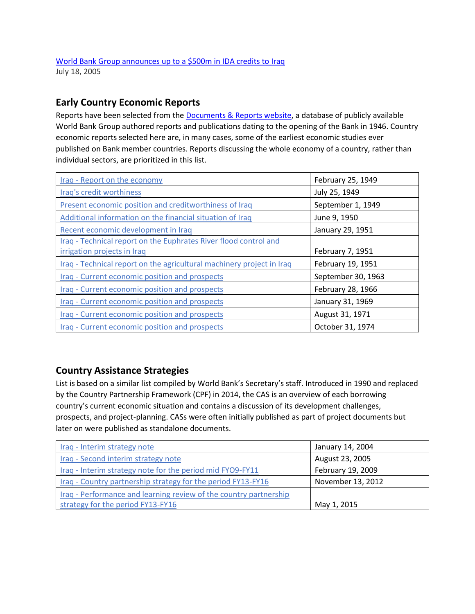# **Early Country Economic Reports**

Reports have been selected from the **Documents & Reports website**, a database of publicly available World Bank Group authored reports and publications dating to the opening of the Bank in 1946. Country economic reports selected here are, in many cases, some of the earliest economic studies ever published on Bank member countries. Reports discussing the whole economy of a country, rather than individual sectors, are prioritized in this list.

| Iraq - Report on the economy                                          | February 25, 1949  |
|-----------------------------------------------------------------------|--------------------|
| Iraq's credit worthiness                                              | July 25, 1949      |
| Present economic position and creditworthiness of Iraq                | September 1, 1949  |
| Additional information on the financial situation of Iraq             | June 9, 1950       |
| Recent economic development in Iraq                                   | January 29, 1951   |
| Iraq - Technical report on the Euphrates River flood control and      |                    |
| irrigation projects in Iraq                                           | February 7, 1951   |
| Iraq - Technical report on the agricultural machinery project in Iraq | February 19, 1951  |
| Iraq - Current economic position and prospects                        | September 30, 1963 |
| Iraq - Current economic position and prospects                        | February 28, 1966  |
| Iraq - Current economic position and prospects                        | January 31, 1969   |
| Iraq - Current economic position and prospects                        | August 31, 1971    |
| Iraq - Current economic position and prospects                        | October 31, 1974   |

## **Country Assistance Strategies**

List is based on a similar list compiled by World Bank's Secretary's staff. Introduced in 1990 and replaced by the Country Partnership Framework (CPF) in 2014, the CAS is an overview of each borrowing country's current economic situation and contains a discussion of its development challenges, prospects, and project-planning. CASs were often initially published as part of project documents but later on were published as standalone documents.

| Iraq - Interim strategy note                                      | January 14, 2004  |
|-------------------------------------------------------------------|-------------------|
| Iraq - Second interim strategy note                               | August 23, 2005   |
| Iraq - Interim strategy note for the period mid FYO9-FY11         | February 19, 2009 |
| Iraq - Country partnership strategy for the period FY13-FY16      | November 13, 2012 |
| Iraq - Performance and learning review of the country partnership |                   |
| strategy for the period FY13-FY16                                 | May 1, 2015       |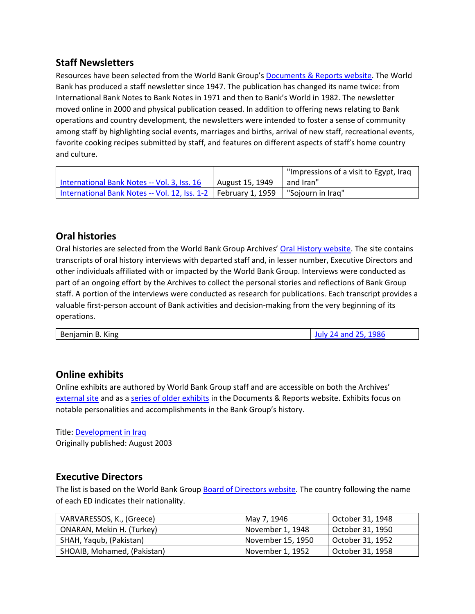## **Staff Newsletters**

Resources have been selected from the World Bank Group's [Documents & Reports website.](https://documents.worldbank.org/) The World Bank has produced a staff newsletter since 1947. The publication has changed its name twice: from International Bank Notes to Bank Notes in 1971 and then to Bank's World in 1982. The newsletter moved online in 2000 and physical publication ceased. In addition to offering news relating to Bank operations and country development, the newsletters were intended to foster a sense of community among staff by highlighting social events, marriages and births, arrival of new staff, recreational events, favorite cooking recipes submitted by staff, and features on different aspects of staff's home country and culture.

|                                                                  |                 | "Impressions of a visit to Egypt, Iraq |
|------------------------------------------------------------------|-----------------|----------------------------------------|
| International Bank Notes -- Vol. 3, Iss. 16                      | August 15, 1949 | and Iran"                              |
| International Bank Notes -- Vol. 12, Iss. 1-2   February 1, 1959 |                 | "Sojourn in Irag"                      |

## **Oral histories**

Oral histories are selected from the World Bank Group Archives' [Oral History website.](https://oralhistory.worldbank.org/) The site contains transcripts of oral history interviews with departed staff and, in lesser number, Executive Directors and other individuals affiliated with or impacted by the World Bank Group. Interviews were conducted as part of an ongoing effort by the Archives to collect the personal stories and reflections of Bank Group staff. A portion of the interviews were conducted as research for publications. Each transcript provides a valuable first-person account of Bank activities and decision-making from the very beginning of its operations.

| Benjamin B. King | July 24 and 25, 1986 |
|------------------|----------------------|
|                  |                      |

## **Online exhibits**

Online exhibits are authored by World Bank Group staff and are accessible on both the Archives' [external site](https://www.worldbank.org/en/about/archives/history/exhibits) and as a [series of older exhibits](https://documents.worldbank.org/en/publication/documents-reports/documentlist?colti=World%20Bank%20Group%20Archives%20exhibit%20series) in the Documents & Reports website. Exhibits focus on notable personalities and accomplishments in the Bank Group's history.

Title: [Development in Iraq](http://documents1.worldbank.org/curated/en/602471467993174110/pdf/104663-WP-PUBLIC-2003-08-Development-in-Iraq.pdf) Originally published: August 2003

## **Executive Directors**

The list is based on the World Bank Group [Board of Directors website.](https://worldbankgroup.sharepoint.com/sites/wbsites/ExecutiveBoard/Pages/pc/About-the-Boards-05222019-155532/List-of-Executi-05222019-155839.aspx) The country following the name of each ED indicates their nationality.

| VARVARESSOS, K., (Greece)   | May 7, 1946       | October 31, 1948 |
|-----------------------------|-------------------|------------------|
| ONARAN, Mekin H. (Turkey)   | November 1, 1948  | October 31, 1950 |
| SHAH, Yaqub, (Pakistan)     | November 15, 1950 | October 31, 1952 |
| SHOAIB, Mohamed, (Pakistan) | November 1, 1952  | October 31, 1958 |